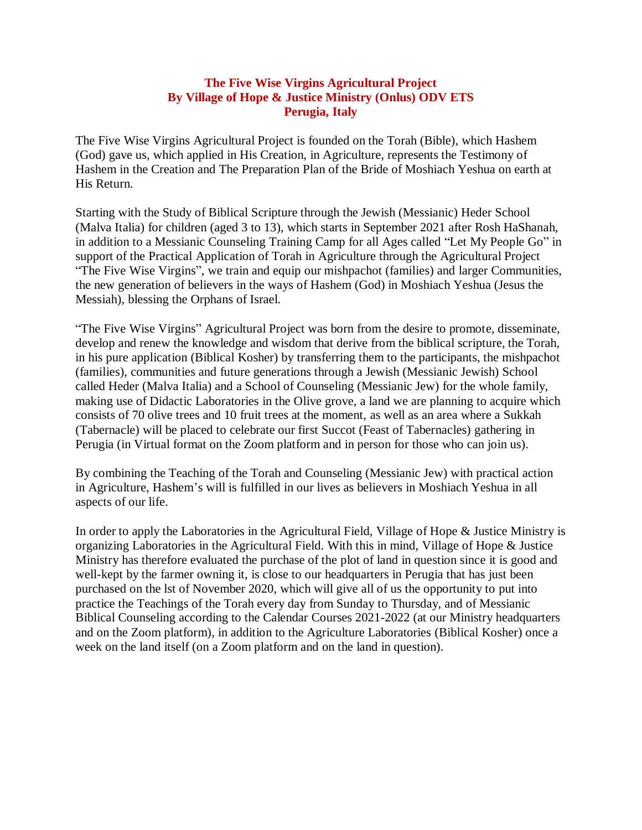The Five Wise Virgins Agricultural Project is founded on the Torah (Bible), which Hashem (God) gave us, which applied in His Creation, in Agriculture, represents the Testimony of Hashem in the Creation and The Preparation Plan of the Bride of Moshiach Yeshua on earth at His Return.

Starting with the Study of Biblical Scripture through the Jewish (Messianic) Heder School (Malva Italia) for children (aged 3 to 13), which starts in September 2021 after Rosh HaShanah, in addition to a Messianic Counseling Training Camp for all Ages called "Let My People Go" in support of the Practical Application of Torah in Agriculture through the Agricultural Project "The Five Wise Virgins", we train and equip our mishpachot (families) and larger Communities, the new generation of believers in the ways of Hashem (God) in Moshiach Yeshua (Jesus the Messiah), blessing the Orphans of Israel.

"The Five Wise Virgins" Agricultural Project was born from the desire to promote, disseminate, develop and renew the knowledge and wisdom that derive from the biblical scripture, the Torah, in his pure application (Biblical Kosher) by transferring them to the participants, the mishpachot (families), communities and future generations through a Jewish (Messianic Jewish) School called Heder (Malva Italia) and a School of Counseling (Messianic Jew) for the whole family, making use of Didactic Laboratories in the Olive grove, a land we are planning to acquire which consists of 70 olive trees and 10 fruit trees at the moment, as well as an area where a Sukkah (Tabernacle) will be placed to celebrate our first Succot (Feast of Tabernacles) gathering in Perugia (in Virtual format on the Zoom platform and in person for those who can join us).

By combining the Teaching of the Torah and Counseling (Messianic Jew) with practical action in Agriculture, Hashem's will is fulfilled in our lives as believers in Moshiach Yeshua in all aspects of our life.

In order to apply the Laboratories in the Agricultural Field, Village of Hope & Justice Ministry is organizing Laboratories in the Agricultural Field. With this in mind, Village of Hope & Justice Ministry has therefore evaluated the purchase of the plot of land in question since it is good and well-kept by the farmer owning it, is close to our headquarters in Perugia that has just been purchased on the lst of November 2020, which will give all of us the opportunity to put into practice the Teachings of the Torah every day from Sunday to Thursday, and of Messianic Biblical Counseling according to the Calendar Courses 2021-2022 (at our Ministry headquarters and on the Zoom platform), in addition to the Agriculture Laboratories (Biblical Kosher) once a week on the land itself (on a Zoom platform and on the land in question).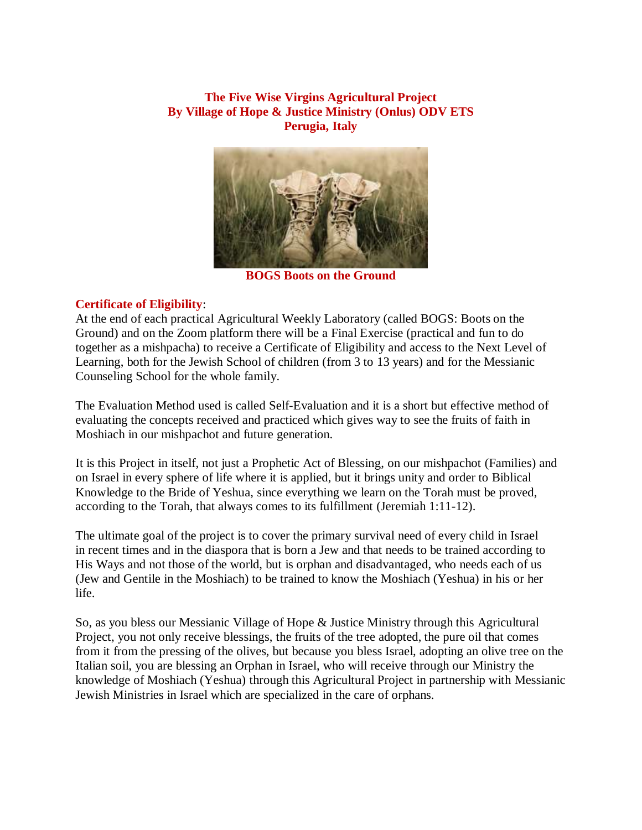

**BOGS Boots on the Ground**

# **Certificate of Eligibility**:

At the end of each practical Agricultural Weekly Laboratory (called BOGS: Boots on the Ground) and on the Zoom platform there will be a Final Exercise (practical and fun to do together as a mishpacha) to receive a Certificate of Eligibility and access to the Next Level of Learning, both for the Jewish School of children (from 3 to 13 years) and for the Messianic Counseling School for the whole family.

The Evaluation Method used is called Self-Evaluation and it is a short but effective method of evaluating the concepts received and practiced which gives way to see the fruits of faith in Moshiach in our mishpachot and future generation.

It is this Project in itself, not just a Prophetic Act of Blessing, on our mishpachot (Families) and on Israel in every sphere of life where it is applied, but it brings unity and order to Biblical Knowledge to the Bride of Yeshua, since everything we learn on the Torah must be proved, according to the Torah, that always comes to its fulfillment (Jeremiah 1:11-12).

The ultimate goal of the project is to cover the primary survival need of every child in Israel in recent times and in the diaspora that is born a Jew and that needs to be trained according to His Ways and not those of the world, but is orphan and disadvantaged, who needs each of us (Jew and Gentile in the Moshiach) to be trained to know the Moshiach (Yeshua) in his or her life.

So, as you bless our Messianic Village of Hope & Justice Ministry through this Agricultural Project, you not only receive blessings, the fruits of the tree adopted, the pure oil that comes from it from the pressing of the olives, but because you bless Israel, adopting an olive tree on the Italian soil, you are blessing an Orphan in Israel, who will receive through our Ministry the knowledge of Moshiach (Yeshua) through this Agricultural Project in partnership with Messianic Jewish Ministries in Israel which are specialized in the care of orphans.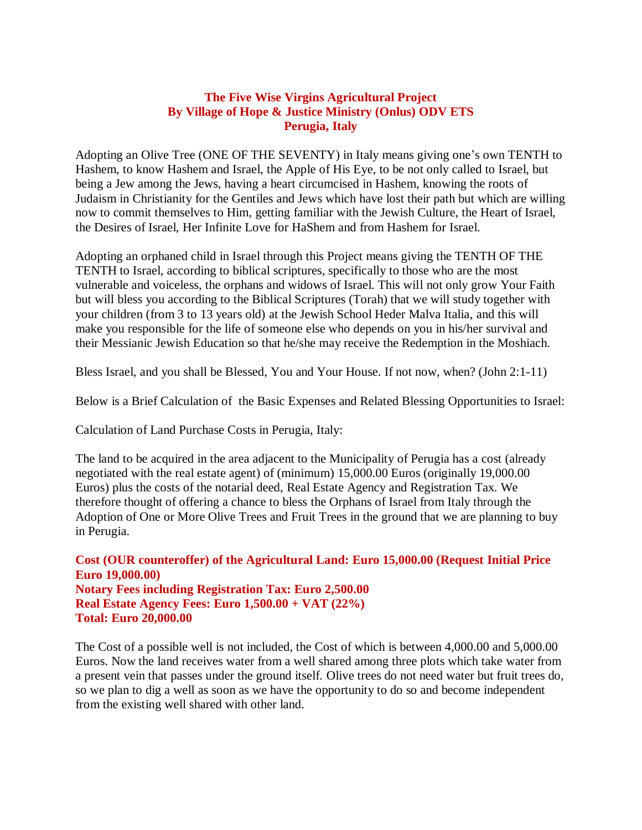Adopting an Olive Tree (ONE OF THE SEVENTY) in Italy means giving one's own TENTH to Hashem, to know Hashem and Israel, the Apple of His Eye, to be not only called to Israel, but being a Jew among the Jews, having a heart circumcised in Hashem, knowing the roots of Judaism in Christianity for the Gentiles and Jews which have lost their path but which are willing now to commit themselves to Him, getting familiar with the Jewish Culture, the Heart of Israel, the Desires of Israel, Her Infinite Love for HaShem and from Hashem for Israel.

Adopting an orphaned child in Israel through this Project means giving the TENTH OF THE TENTH to Israel, according to biblical scriptures, specifically to those who are the most vulnerable and voiceless, the orphans and widows of Israel. This will not only grow Your Faith but will bless you according to the Biblical Scriptures (Torah) that we will study together with your children (from 3 to 13 years old) at the Jewish School Heder Malva Italia, and this will make you responsible for the life of someone else who depends on you in his/her survival and their Messianic Jewish Education so that he/she may receive the Redemption in the Moshiach.

Bless Israel, and you shall be Blessed, You and Your House. If not now, when? (John 2:1-11)

Below is a Brief Calculation of the Basic Expenses and Related Blessing Opportunities to Israel:

Calculation of Land Purchase Costs in Perugia, Italy:

The land to be acquired in the area adjacent to the Municipality of Perugia has a cost (already negotiated with the real estate agent) of (minimum) 15,000.00 Euros (originally 19,000.00 Euros) plus the costs of the notarial deed, Real Estate Agency and Registration Tax. We therefore thought of offering a chance to bless the Orphans of Israel from Italy through the Adoption of One or More Olive Trees and Fruit Trees in the ground that we are planning to buy in Perugia.

**Cost (OUR counteroffer) of the Agricultural Land: Euro 15,000.00 (Request Initial Price Euro 19,000.00) Notary Fees including Registration Tax: Euro 2,500.00 Real Estate Agency Fees: Euro 1,500.00 + VAT (22%) Total: Euro 20,000.00**

The Cost of a possible well is not included, the Cost of which is between 4,000.00 and 5,000.00 Euros. Now the land receives water from a well shared among three plots which take water from a present vein that passes under the ground itself. Olive trees do not need water but fruit trees do, so we plan to dig a well as soon as we have the opportunity to do so and become independent from the existing well shared with other land.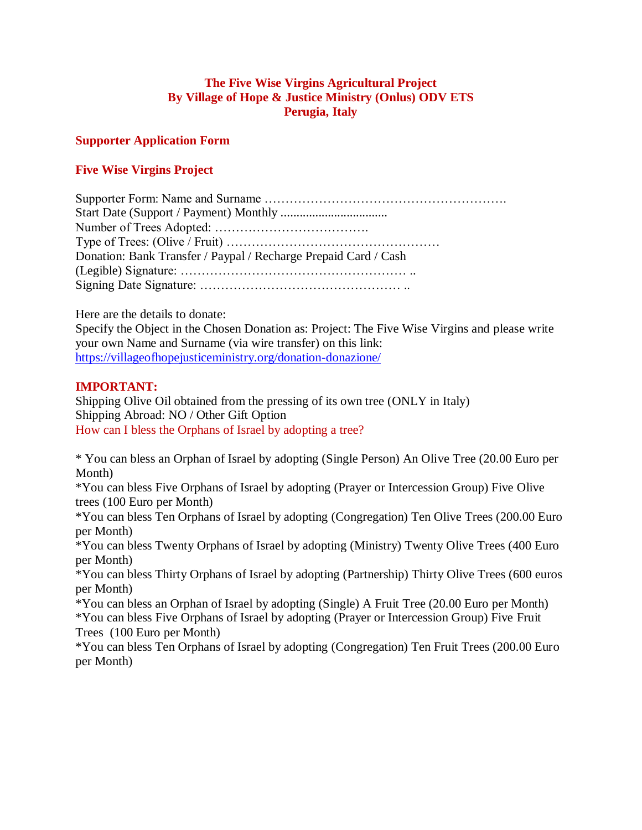#### **Supporter Application Form**

# **Five Wise Virgins Project**

| Donation: Bank Transfer / Paypal / Recharge Prepaid Card / Cash |
|-----------------------------------------------------------------|
|                                                                 |
|                                                                 |

Here are the details to donate:

Specify the Object in the Chosen Donation as: Project: The Five Wise Virgins and please write your own Name and Surname (via wire transfer) on this link: <https://villageofhopejusticeministry.org/donation-donazione/>

# **IMPORTANT:**

Shipping Olive Oil obtained from the pressing of its own tree (ONLY in Italy) Shipping Abroad: NO / Other Gift Option How can I bless the Orphans of Israel by adopting a tree?

\* You can bless an Orphan of Israel by adopting (Single Person) An Olive Tree (20.00 Euro per Month)

\*You can bless Five Orphans of Israel by adopting (Prayer or Intercession Group) Five Olive trees (100 Euro per Month)

\*You can bless Ten Orphans of Israel by adopting (Congregation) Ten Olive Trees (200.00 Euro per Month)

\*You can bless Twenty Orphans of Israel by adopting (Ministry) Twenty Olive Trees (400 Euro per Month)

\*You can bless Thirty Orphans of Israel by adopting (Partnership) Thirty Olive Trees (600 euros per Month)

\*You can bless an Orphan of Israel by adopting (Single) A Fruit Tree (20.00 Euro per Month)

\*You can bless Five Orphans of Israel by adopting (Prayer or Intercession Group) Five Fruit Trees (100 Euro per Month)

\*You can bless Ten Orphans of Israel by adopting (Congregation) Ten Fruit Trees (200.00 Euro per Month)